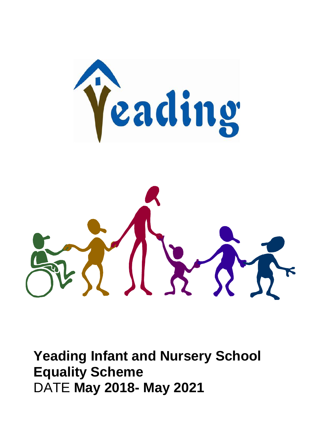

**Yeading Infant and Nursery School Equality Scheme** DATE **May 2018- May 2021**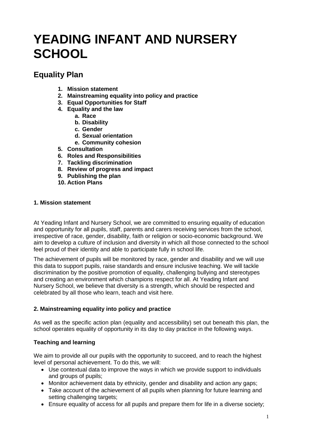# **YEADING INFANT AND NURSERY SCHOOL**

### **Equality Plan**

- **1. Mission statement**
- **2. Mainstreaming equality into policy and practice**
- **3. Equal Opportunities for Staff**
- **4. Equality and the law**
	- **a. Race**
	- **b. Disability**
	- **c. Gender**
	- **d. Sexual orientation**
	- **e. Community cohesion**
- **5. Consultation**
- **6. Roles and Responsibilities**
- **7. Tackling discrimination**
- **8. Review of progress and impact**
- **9. Publishing the plan**
- **10. Action Plans**

#### **1. Mission statement**

At Yeading Infant and Nursery School, we are committed to ensuring equality of education and opportunity for all pupils, staff, parents and carers receiving services from the school, irrespective of race, gender, disability, faith or religion or socio-economic background. We aim to develop a culture of inclusion and diversity in which all those connected to the school feel proud of their identity and able to participate fully in school life.

The achievement of pupils will be monitored by race, gender and disability and we will use this data to support pupils, raise standards and ensure inclusive teaching. We will tackle discrimination by the positive promotion of equality, challenging bullying and stereotypes and creating an environment which champions respect for all. At Yeading Infant and Nursery School, we believe that diversity is a strength, which should be respected and celebrated by all those who learn, teach and visit here.

#### **2. Mainstreaming equality into policy and practice**

As well as the specific action plan (equality and accessibility) set out beneath this plan, the school operates equality of opportunity in its day to day practice in the following ways.

#### **Teaching and learning**

We aim to provide all our pupils with the opportunity to succeed, and to reach the highest level of personal achievement. To do this, we will:

- Use contextual data to improve the ways in which we provide support to individuals and groups of pupils;
- Monitor achievement data by ethnicity, gender and disability and action any gaps;
- Take account of the achievement of all pupils when planning for future learning and setting challenging targets;
- Ensure equality of access for all pupils and prepare them for life in a diverse society;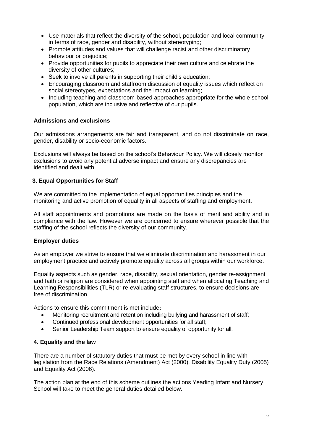- Use materials that reflect the diversity of the school, population and local community in terms of race, gender and disability, without stereotyping;
- Promote attitudes and values that will challenge racist and other discriminatory behaviour or prejudice;
- Provide opportunities for pupils to appreciate their own culture and celebrate the diversity of other cultures;
- Seek to involve all parents in supporting their child's education;
- Encouraging classroom and staffroom discussion of equality issues which reflect on social stereotypes, expectations and the impact on learning;
- Including teaching and classroom-based approaches appropriate for the whole school population, which are inclusive and reflective of our pupils.

#### **Admissions and exclusions**

Our admissions arrangements are fair and transparent, and do not discriminate on race, gender, disability or socio-economic factors.

Exclusions will always be based on the school's Behaviour Policy. We will closely monitor exclusions to avoid any potential adverse impact and ensure any discrepancies are identified and dealt with.

#### **3. Equal Opportunities for Staff**

We are committed to the implementation of equal opportunities principles and the monitoring and active promotion of equality in all aspects of staffing and employment.

All staff appointments and promotions are made on the basis of merit and ability and in compliance with the law. However we are concerned to ensure wherever possible that the staffing of the school reflects the diversity of our community.

#### **Employer duties**

As an employer we strive to ensure that we eliminate discrimination and harassment in our employment practice and actively promote equality across all groups within our workforce.

Equality aspects such as gender, race, disability, sexual orientation, gender re-assignment and faith or religion are considered when appointing staff and when allocating Teaching and Learning Responsibilities (TLR) or re-evaluating staff structures, to ensure decisions are free of discrimination.

Actions to ensure this commitment is met include**:** 

- Monitoring recruitment and retention including bullying and harassment of staff;
- Continued professional development opportunities for all staff;
- Senior Leadership Team support to ensure equality of opportunity for all.

#### **4. Equality and the law**

There are a number of statutory duties that must be met by every school in line with legislation from the Race Relations (Amendment) Act (2000), Disability Equality Duty (2005) and Equality Act (2006).

The action plan at the end of this scheme outlines the actions Yeading Infant and Nursery School will take to meet the general duties detailed below.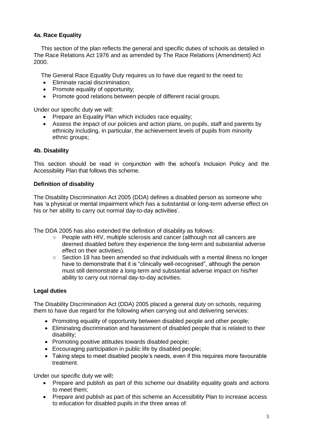#### **4a. Race Equality**

This section of the plan reflects the general and specific duties of schools as detailed in The Race Relations Act 1976 and as amended by The Race Relations (Amendment) Act 2000.

The General Race Equality Duty requires us to have due regard to the need to:

- Eliminate racial discrimination:
- Promote equality of opportunity;
- Promote good relations between people of different racial groups.

Under our specific duty we will:

- Prepare an Equality Plan which includes race equality;
- Assess the impact of our policies and action plans, on pupils, staff and parents by ethnicity including, in particular, the achievement levels of pupils from minority ethnic groups;

#### **4b. Disability**

This section should be read in conjunction with the school's Inclusion Policy and the Accessibility Plan that follows this scheme.

#### **Definition of disability**

The Disability Discrimination Act 2005 (DDA) defines a disabled person as someone who has 'a physical or mental impairment which has a substantial or long-term adverse effect on his or her ability to carry out normal day-to-day activities'.

The DDA 2005 has also extended the definition of disability as follows:

- People with HIV, multiple sclerosis and cancer (although not all cancers are deemed disabled before they experience the long-term and substantial adverse effect on their activities).
- $\circ$  Section 18 has been amended so that individuals with a mental illness no longer have to demonstrate that it is "clinically well-recognised", although the person must still demonstrate a long-term and substantial adverse impact on his/her ability to carry out normal day-to-day activities.

#### **Legal duties**

The Disability Discrimination Act (DDA) 2005 placed a general duty on schools, requiring them to have due regard for the following when carrying out and delivering services:

- Promoting equality of opportunity between disabled people and other people;
- Eliminating discrimination and harassment of disabled people that is related to their disability;
- Promoting positive attitudes towards disabled people;
- Encouraging participation in public life by disabled people;
- Taking steps to meet disabled people's needs, even if this requires more favourable treatment.

Under our specific duty we will**:**

- Prepare and publish as part of this scheme our disability equality goals and actions to meet them;
- Prepare and publish as part of this scheme an Accessibility Plan to increase access to education for disabled pupils in the three areas of: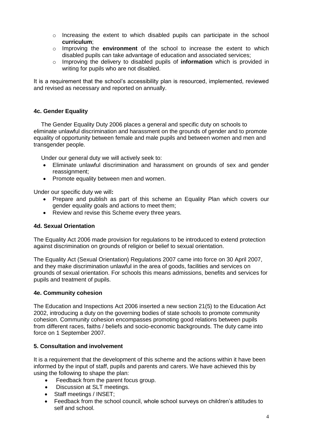- $\circ$  Increasing the extent to which disabled pupils can participate in the school **curriculum**;
- o Improving the **environment** of the school to increase the extent to which disabled pupils can take advantage of education and associated services;
- o Improving the delivery to disabled pupils of **information** which is provided in writing for pupils who are not disabled.

It is a requirement that the school's accessibility plan is resourced, implemented, reviewed and revised as necessary and reported on annually.

#### **4c. Gender Equality**

The Gender Equality Duty 2006 places a general and specific duty on schools to eliminate unlawful discrimination and harassment on the grounds of gender and to promote equality of opportunity between female and male pupils and between women and men and transgender people.

Under our general duty we will actively seek to:

- Eliminate unlawful discrimination and harassment on grounds of sex and gender reassignment;
- Promote equality between men and women.

Under our specific duty we will**:**

- Prepare and publish as part of this scheme an Equality Plan which covers our gender equality goals and actions to meet them;
- Review and revise this Scheme every three years.

#### **4d. Sexual Orientation**

The Equality Act 2006 made provision for regulations to be introduced to extend protection against discrimination on grounds of religion or belief to sexual orientation.

The Equality Act (Sexual Orientation) Regulations 2007 came into force on 30 April 2007, and they make discrimination unlawful in the area of goods, facilities and services on grounds of sexual orientation. For schools this means admissions, benefits and services for pupils and treatment of pupils.

#### **4e. Community cohesion**

The Education and Inspections Act 2006 inserted a new section 21(5) to the Education Act 2002, introducing a duty on the governing bodies of state schools to promote community cohesion. Community cohesion encompasses promoting good relations between pupils from different races, faiths / beliefs and socio-economic backgrounds. The duty came into force on 1 September 2007.

#### **5. Consultation and involvement**

It is a requirement that the development of this scheme and the actions within it have been informed by the input of staff, pupils and parents and carers. We have achieved this by using the following to shape the plan:

- Feedback from the parent focus group.
- Discussion at SLT meetings.
- Staff meetings / INSET;
- Feedback from the school council, whole school surveys on children's attitudes to self and school.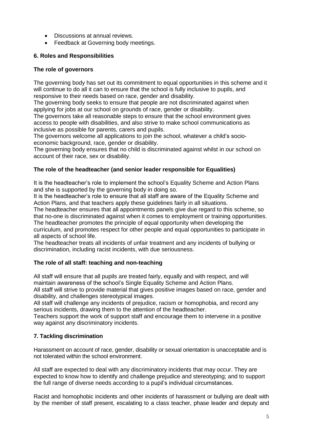- Discussions at annual reviews.
- Feedback at Governing body meetings.

#### **6. Roles and Responsibilities**

#### **The role of governors**

The governing body has set out its commitment to equal opportunities in this scheme and it will continue to do all it can to ensure that the school is fully inclusive to pupils, and responsive to their needs based on race, gender and disability.

The governing body seeks to ensure that people are not discriminated against when applying for jobs at our school on grounds of race, gender or disability.

The governors take all reasonable steps to ensure that the school environment gives access to people with disabilities, and also strive to make school communications as inclusive as possible for parents, carers and pupils.

The governors welcome all applications to join the school, whatever a child's socioeconomic background, race, gender or disability.

The governing body ensures that no child is discriminated against whilst in our school on account of their race, sex or disability.

#### **The role of the headteacher (and senior leader responsible for Equalities)**

It is the headteacher's role to implement the school's Equality Scheme and Action Plans and she is supported by the governing body in doing so.

It is the headteacher's role to ensure that all staff are aware of the Equality Scheme and Action Plans, and that teachers apply these guidelines fairly in all situations.

The headteacher ensures that all appointments panels give due regard to this scheme, so that no-one is discriminated against when it comes to employment or training opportunities. The headteacher promotes the principle of equal opportunity when developing the

curriculum, and promotes respect for other people and equal opportunities to participate in all aspects of school life.

The headteacher treats all incidents of unfair treatment and any incidents of bullying or discrimination, including racist incidents, with due seriousness.

#### **The role of all staff: teaching and non-teaching**

All staff will ensure that all pupils are treated fairly, equally and with respect, and will maintain awareness of the school's Single Equality Scheme and Action Plans.

All staff will strive to provide material that gives positive images based on race, gender and disability, and challenges stereotypical images.

All staff will challenge any incidents of prejudice, racism or homophobia, and record any serious incidents, drawing them to the attention of the headteacher.

Teachers support the work of support staff and encourage them to intervene in a positive way against any discriminatory incidents.

#### **7. Tackling discrimination**

Harassment on account of race, gender, disability or sexual orientation is unacceptable and is not tolerated within the school environment.

All staff are expected to deal with any discriminatory incidents that may occur. They are expected to know how to identify and challenge prejudice and stereotyping; and to support the full range of diverse needs according to a pupil's individual circumstances.

Racist and homophobic incidents and other incidents of harassment or bullying are dealt with by the member of staff present, escalating to a class teacher, phase leader and deputy and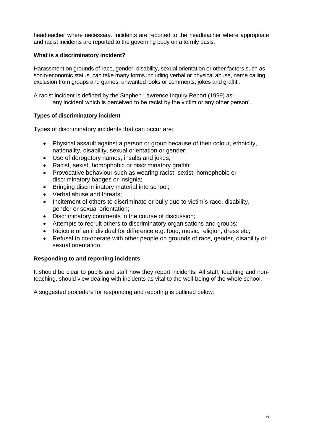headteacher where necessary. Incidents are reported to the headteacher where appropriate and racist incidents are reported to the governing body on a termly basis.

#### **What is a discriminatory incident?**

Harassment on grounds of race, gender, disability, sexual orientation or other factors such as socio-economic status, can take many forms including verbal or physical abuse, name calling, exclusion from groups and games, unwanted looks or comments, jokes and graffiti.

A racist incident is defined by the Stephen Lawrence Inquiry Report (1999) as: 'any incident which is perceived to be racist by the victim or any other person'.

#### **Types of discriminatory incident**

Types of discriminatory incidents that can occur are:

- Physical assault against a person or group because of their colour, ethnicity, nationality, disability, sexual orientation or gender;
- Use of derogatory names, insults and jokes;
- Racist, sexist, homophobic or discriminatory graffiti;
- Provocative behaviour such as wearing racist, sexist, homophobic or discriminatory badges or insignia;
- Bringing discriminatory material into school;
- Verbal abuse and threats;
- Incitement of others to discriminate or bully due to victim's race, disability, gender or sexual orientation;
- Discriminatory comments in the course of discussion;
- Attempts to recruit others to discriminatory organisations and groups;
- Ridicule of an individual for difference e.g. food, music, religion, dress etc;
- Refusal to co-operate with other people on grounds of race, gender, disability or sexual orientation.

#### **Responding to and reporting incidents**

It should be clear to pupils and staff how they report incidents. All staff, teaching and nonteaching, should view dealing with incidents as vital to the well-being of the whole school.

A suggested procedure for responding and reporting is outlined below: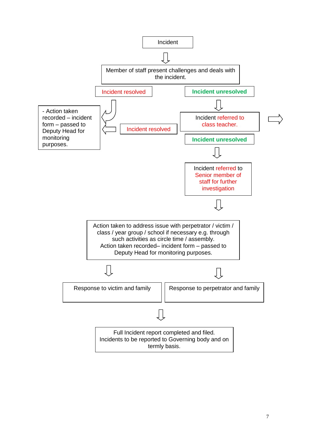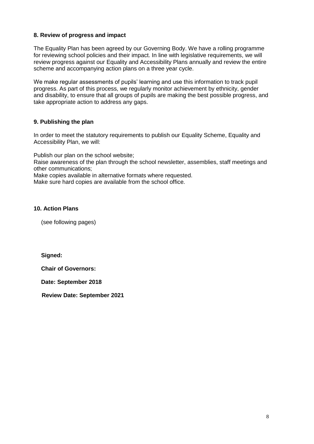#### **8. Review of progress and impact**

The Equality Plan has been agreed by our Governing Body. We have a rolling programme for reviewing school policies and their impact. In line with legislative requirements, we will review progress against our Equality and Accessibility Plans annually and review the entire scheme and accompanying action plans on a three year cycle.

We make regular assessments of pupils' learning and use this information to track pupil progress. As part of this process, we regularly monitor achievement by ethnicity, gender and disability, to ensure that all groups of pupils are making the best possible progress, and take appropriate action to address any gaps.

#### **9. Publishing the plan**

In order to meet the statutory requirements to publish our Equality Scheme, Equality and Accessibility Plan, we will:

Publish our plan on the school website;

Raise awareness of the plan through the school newsletter, assemblies, staff meetings and other communications;

Make copies available in alternative formats where requested.

Make sure hard copies are available from the school office.

#### **10. Action Plans**

(see following pages)

**Signed:**

**Chair of Governors:**

**Date: September 2018**

**Review Date: September 2021**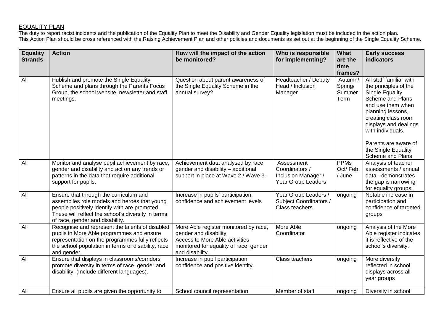#### EQUALITY PLAN

The duty to report racist incidents and the publication of the Equality Plan to meet the Disability and Gender Equality legislation must be included in the action plan. This Action Plan should be cross referenced with the Raising Achievement Plan and other policies and documents as set out at the beginning of the Single Equality Scheme.

| <b>Equality</b><br><b>Strands</b> | <b>Action</b>                                                                                                                                                                                                                    | How will the impact of the action<br>be monitored?                                                                                                             | Who is responsible<br>for implementing?                                   | <b>What</b><br>are the<br>time<br>frames? | <b>Early success</b><br>indicators                                                                                                                                                                                                                                                      |
|-----------------------------------|----------------------------------------------------------------------------------------------------------------------------------------------------------------------------------------------------------------------------------|----------------------------------------------------------------------------------------------------------------------------------------------------------------|---------------------------------------------------------------------------|-------------------------------------------|-----------------------------------------------------------------------------------------------------------------------------------------------------------------------------------------------------------------------------------------------------------------------------------------|
| All                               | Publish and promote the Single Equality<br>Scheme and plans through the Parents Focus<br>Group, the school website, newsletter and staff<br>meetings.                                                                            | Question about parent awareness of<br>the Single Equality Scheme in the<br>annual survey?                                                                      | Headteacher / Deputy<br>Head / Inclusion<br>Manager                       | Autumn/<br>Spring/<br>Summer<br>Term      | All staff familiar with<br>the principles of the<br><b>Single Equality</b><br><b>Scheme and Plans</b><br>and use them when<br>planning lessons,<br>creating class room<br>displays and dealings<br>with individuals.<br>Parents are aware of<br>the Single Equality<br>Scheme and Plans |
| All                               | Monitor and analyse pupil achievement by race,<br>gender and disability and act on any trends or<br>patterns in the data that require additional<br>support for pupils.                                                          | Achievement data analysed by race,<br>gender and disability - additional<br>support in place at Wave 2 / Wave 3.                                               | Assessment<br>Coordinators /<br>Inclusion Manager /<br>Year Group Leaders | <b>PPMs</b><br>Oct/Feb<br>/ June          | Analysis of teacher<br>assessments / annual<br>data - demonstrates<br>the gap is narrowing<br>for equality groups.                                                                                                                                                                      |
| All                               | Ensure that through the curriculum and<br>assemblies role models and heroes that young<br>people positively identify with are promoted.<br>These will reflect the school's diversity in terms<br>of race, gender and disability. | Increase in pupils' participation,<br>confidence and achievement levels                                                                                        | Year Group Leaders /<br><b>Subject Coordinators /</b><br>Class teachers.  | ongoing                                   | Notable increase in<br>participation and<br>confidence of targeted<br>groups                                                                                                                                                                                                            |
| $\overline{All}$                  | Recognise and represent the talents of disabled<br>pupils in More Able programmes and ensure<br>representation on the programmes fully reflects<br>the school population in terms of disability, race<br>and gender.             | More Able register monitored by race,<br>gender and disability.<br>Access to More Able activities<br>monitored for equality of race, gender<br>and disability. | More Able<br>Coordinator                                                  | ongoing                                   | Analysis of the More<br>Able register indicates<br>it is reflective of the<br>school's diversity.                                                                                                                                                                                       |
| All                               | Ensure that displays in classrooms/corridors<br>promote diversity in terms of race, gender and<br>disability. (Include different languages).                                                                                     | Increase in pupil participation,<br>confidence and positive identity.                                                                                          | Class teachers                                                            | ongoing                                   | More diversity<br>reflected in school<br>displays across all<br>year groups                                                                                                                                                                                                             |
| All                               | Ensure all pupils are given the opportunity to                                                                                                                                                                                   | School council representation                                                                                                                                  | Member of staff                                                           | ongoing                                   | Diversity in school                                                                                                                                                                                                                                                                     |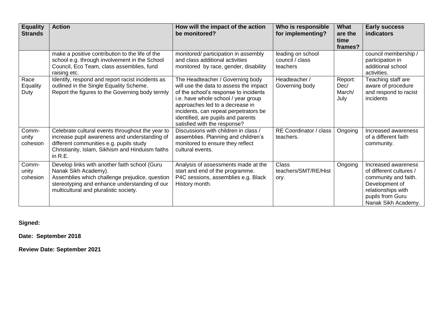| <b>Equality</b><br><b>Strands</b> | <b>Action</b>                                                                                                                                                                                                      | How will the impact of the action<br>be monitored?                                                                                                                                                                                                                                                           | Who is responsible<br>for implementing?          | What<br>are the<br>time<br>frames? | <b>Early success</b><br>indicators                                                                                                                        |
|-----------------------------------|--------------------------------------------------------------------------------------------------------------------------------------------------------------------------------------------------------------------|--------------------------------------------------------------------------------------------------------------------------------------------------------------------------------------------------------------------------------------------------------------------------------------------------------------|--------------------------------------------------|------------------------------------|-----------------------------------------------------------------------------------------------------------------------------------------------------------|
|                                   | make a positive contribution to the life of the<br>school e.g. through involvement in the School<br>Council, Eco Team, class assemblies, fund<br>raising etc.                                                      | monitored/ participation in assembly<br>and class additional activities<br>monitored by race, gender, disability                                                                                                                                                                                             | leading on school<br>council / class<br>teachers |                                    | council membership /<br>participation in<br>additional school<br>activities.                                                                              |
| Race<br>Equality<br>Duty          | Identify, respond and report racist incidents as<br>outlined in the Single Equality Scheme.<br>Report the figures to the Governing body termly                                                                     | The Headteacher / Governing body<br>will use the data to assess the impact<br>of the school's response to incidents<br>i.e. have whole school / year group<br>approaches led to a decrease in<br>incidents, can repeat perpetrators be<br>identified, are pupils and parents<br>satisfied with the response? | Headteacher /<br>Governing body                  | Report:<br>Dec/<br>March/<br>July  | Teaching staff are<br>aware of procedure<br>and respond to racist<br>incidents                                                                            |
| Comm-<br>unity<br>cohesion        | Celebrate cultural events throughout the year to<br>increase pupil awareness and understanding of<br>different communities e.g. pupils study<br>Christianity, Islam, Sikhism and Hinduism faiths<br>in R.E.        | Discussions with children in class /<br>assemblies. Planning and children's<br>monitored to ensure they reflect<br>cultural events.                                                                                                                                                                          | RE Coordinator / class<br>teachers.              | Ongoing                            | Increased awareness<br>of a different faith<br>community.                                                                                                 |
| Comm-<br>unity<br>cohesion        | Develop links with another faith school (Guru<br>Nanak Sikh Academy).<br>Assemblies which challenge prejudice, question<br>stereotyping and enhance understanding of our<br>multicultural and pluralistic society. | Analysis of assessments made at the<br>start and end of the programme.<br>P4C sessions, assemblies e.g. Black<br>History month.                                                                                                                                                                              | <b>Class</b><br>teachers/SMT/RE/Hist<br>ory.     | Ongoing                            | Increased awareness<br>of different cultures /<br>community and faith.<br>Development of<br>relationships with<br>pupils from Guru<br>Nanak Sikh Academy. |

**Signed:**

**Date: September 2018**

**Review Date: September 2021**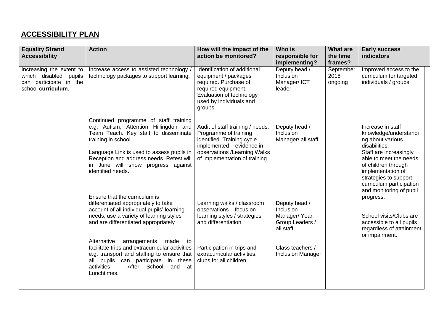## **ACCESSIBILITY PLAN**

| <b>Equality Strand</b>                                                                               | <b>Action</b>                                                                                                                                                                                                                                                                                                                                                                                                                                                           | How will the impact of the                                                                                                                                                                            | Who is                                                                                                                      | <b>What are</b>              | <b>Early success</b>                                                                                                                                                                                                                                            |
|------------------------------------------------------------------------------------------------------|-------------------------------------------------------------------------------------------------------------------------------------------------------------------------------------------------------------------------------------------------------------------------------------------------------------------------------------------------------------------------------------------------------------------------------------------------------------------------|-------------------------------------------------------------------------------------------------------------------------------------------------------------------------------------------------------|-----------------------------------------------------------------------------------------------------------------------------|------------------------------|-----------------------------------------------------------------------------------------------------------------------------------------------------------------------------------------------------------------------------------------------------------------|
| <b>Accessibility</b>                                                                                 |                                                                                                                                                                                                                                                                                                                                                                                                                                                                         | action be monitored?                                                                                                                                                                                  | responsible for                                                                                                             | the time<br>frames?          | <b>indicators</b>                                                                                                                                                                                                                                               |
| Increasing the extent to<br>which disabled<br>pupils<br>can participate in the<br>school curriculum. | Increase access to assisted technology<br>technology packages to support learning.                                                                                                                                                                                                                                                                                                                                                                                      | Identification of additional<br>equipment / packages<br>required. Purchase of<br>required equipment.<br>Evaluation of technology<br>used by individuals and<br>groups.                                | implementing?<br>Deputy head /<br>Inclusion<br>Manager/ICT<br>leader                                                        | September<br>2018<br>ongoing | Improved access to the<br>curriculum for targeted<br>individuals / groups.                                                                                                                                                                                      |
|                                                                                                      | Continued programme of staff training<br>e.g. Autism, Attention Hillingdon and<br>Team Teach. Key staff to disseminate<br>training in school.<br>Language Link is used to assess pupils in<br>Reception and address needs. Retest will<br>in June will show progress against<br>identified needs.                                                                                                                                                                       | Audit of staff training / needs.<br>Programme of training<br>identified. Training cycle<br>implemented - evidence in<br>observations /Learning Walks<br>of implementation of training.                | Deputy head /<br>Inclusion<br>Manager/ all staff.                                                                           |                              | Increase in staff<br>knowledge/understandi<br>ng about various<br>disabilities.<br>Staff are increasingly<br>able to meet the needs<br>of children through<br>implementation of<br>strategies to support<br>curriculum participation<br>and monitoring of pupil |
|                                                                                                      | Ensure that the curriculum is<br>differentiated appropriately to take<br>account of all individual pupils' learning<br>needs, use a variety of learning styles<br>and are differentiated appropriately<br>Alternative<br>arrangements<br>made<br>$\mathsf{to}$<br>facilitate trips and extracurricular activities<br>e.g. transport and staffing to ensure that<br>pupils can participate<br>in these<br>all<br>After School<br>$activities -$<br>and at<br>Lunchtimes. | Learning walks / classroom<br>observations - focus on<br>learning styles / strategies<br>and differentiation.<br>Participation in trips and<br>extracurricular activities,<br>clubs for all children. | Deputy head /<br>Inclusion<br>Manager/Year<br>Group Leaders /<br>all staff.<br>Class teachers /<br><b>Inclusion Manager</b> |                              | progress.<br>School visits/Clubs are<br>accessible to all pupils<br>regardless of attainment<br>or impairment.                                                                                                                                                  |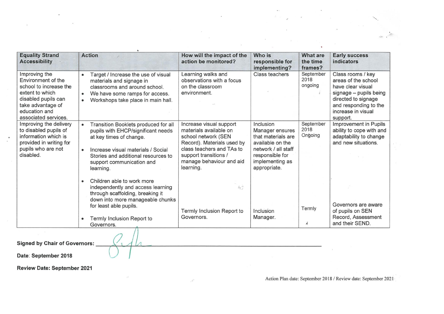| <b>Equality Strand</b><br><b>Accessibility</b>                                                                                                                        | <b>Action</b>                                                                                                                                                                                                                                          | How will the impact of the<br>action be monitored?                                                                                                                                                    | Who is<br>responsible for<br>implementing?                                                                                                          | <b>What are</b><br>the time<br>frames? | <b>Early success</b><br><b>indicators</b>                                                                                                                                 |
|-----------------------------------------------------------------------------------------------------------------------------------------------------------------------|--------------------------------------------------------------------------------------------------------------------------------------------------------------------------------------------------------------------------------------------------------|-------------------------------------------------------------------------------------------------------------------------------------------------------------------------------------------------------|-----------------------------------------------------------------------------------------------------------------------------------------------------|----------------------------------------|---------------------------------------------------------------------------------------------------------------------------------------------------------------------------|
| Improving the<br>Environment of the<br>school to increase the<br>extent to which<br>disabled pupils can<br>take advantage of<br>education and<br>associated services. | Target / Increase the use of visual<br>$\bullet$<br>materials and signage in<br>classrooms and around school.<br>We have some ramps for access.<br>$\bullet$<br>Workshops take place in main hall.                                                     | Learning walks and<br>observations with a focus<br>on the classroom<br>environment.                                                                                                                   | <b>Class teachers</b>                                                                                                                               | September<br>2018<br>ongoing           | Class rooms / key<br>areas of the school<br>have clear visual<br>signage - pupils being<br>directed to signage<br>and responding to the<br>increase in visual<br>support. |
| Improving the delivery<br>to disabled pupils of<br>information which is<br>provided in writing for<br>pupils who are not<br>disabled.                                 | Transition Booklets produced for all<br>$\bullet$<br>pupils with EHCP/significant needs<br>at key times of change.<br>Increase visual materials / Social<br>$\bullet$<br>Stories and additional resources to<br>support communication and<br>learning. | Increase visual support<br>materials available on<br>school network (SEN<br>Record). Materials used by<br>class teachers and TAs to<br>support transitions /<br>manage behaviour and aid<br>learning. | Inclusion<br>Manager ensures<br>that materials are<br>available on the<br>network / all staff<br>responsible for<br>implementing as<br>appropriate. | September<br>2018<br>Ongoing           | Improvement in Pupils<br>ability to cope with and<br>adaptability to change<br>and new situations.                                                                        |
|                                                                                                                                                                       | Children able to work more<br>$\bullet$<br>independently and access learning<br>through scaffolding, breaking it<br>down into more manageable chunks<br>for least able pupils.<br>Termly Inclusion Report to<br>$\bullet$<br>Governors.                | $k_{\rm F}$<br>Termly Inclusion Report to<br>Governors.                                                                                                                                               | Inclusion<br>Manager.                                                                                                                               | Termly<br>À                            | Governors are aware<br>of pupils on SEN<br>Record, Assessment<br>and their SEND.                                                                                          |
| <b>Signed by Chair of Governors:</b>                                                                                                                                  |                                                                                                                                                                                                                                                        |                                                                                                                                                                                                       |                                                                                                                                                     |                                        |                                                                                                                                                                           |

 $\mathcal{A}^{\mathcal{C}^{\mathcal{C}}}$ 

8

Date: September 2018

**Review Date: September 2021** 

Action Plan date: September 2018 / Review date: September 2021